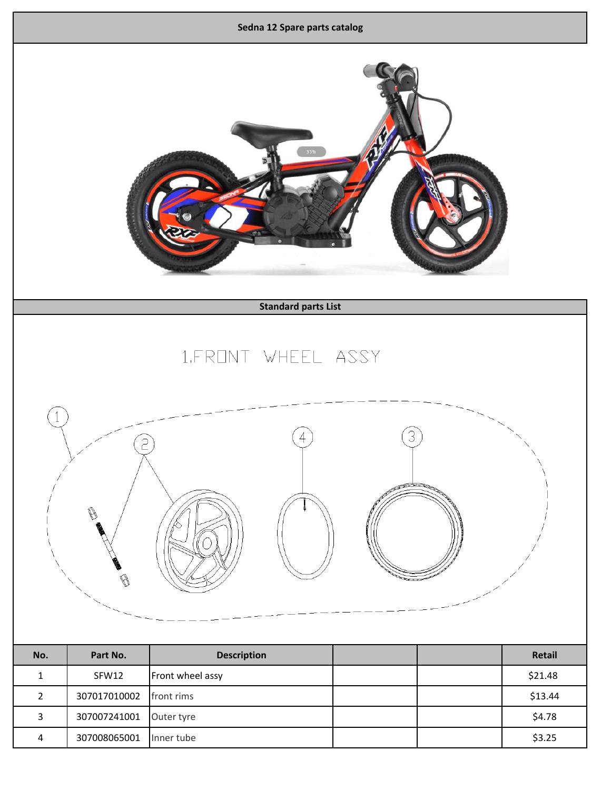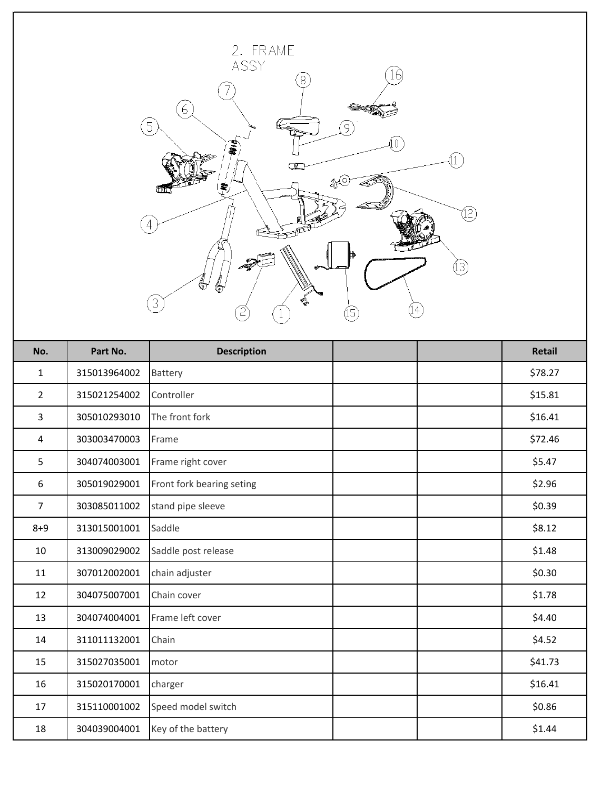

| No.            | Part No.     | <b>Description</b>        | <b>Retail</b> |
|----------------|--------------|---------------------------|---------------|
| $\mathbf{1}$   | 315013964002 | Battery                   | \$78.27       |
| $\overline{2}$ | 315021254002 | Controller                | \$15.81       |
| 3              | 305010293010 | The front fork            | \$16.41       |
| 4              | 303003470003 | Frame                     | \$72.46       |
| 5              | 304074003001 | Frame right cover         | \$5.47        |
| 6              | 305019029001 | Front fork bearing seting | \$2.96        |
| $\overline{7}$ | 303085011002 | stand pipe sleeve         | \$0.39        |
| $8 + 9$        | 313015001001 | Saddle                    | \$8.12        |
| 10             | 313009029002 | Saddle post release       | \$1.48        |
| 11             | 307012002001 | chain adjuster            | \$0.30        |
| 12             | 304075007001 | Chain cover               | \$1.78        |
| 13             | 304074004001 | Frame left cover          | \$4.40        |
| 14             | 311011132001 | Chain                     | \$4.52        |
| 15             | 315027035001 | motor                     | \$41.73       |
| 16             | 315020170001 | charger                   | \$16.41       |
| 17             | 315110001002 | Speed model switch        | \$0.86        |
| 18             | 304039004001 | Key of the battery        | \$1.44        |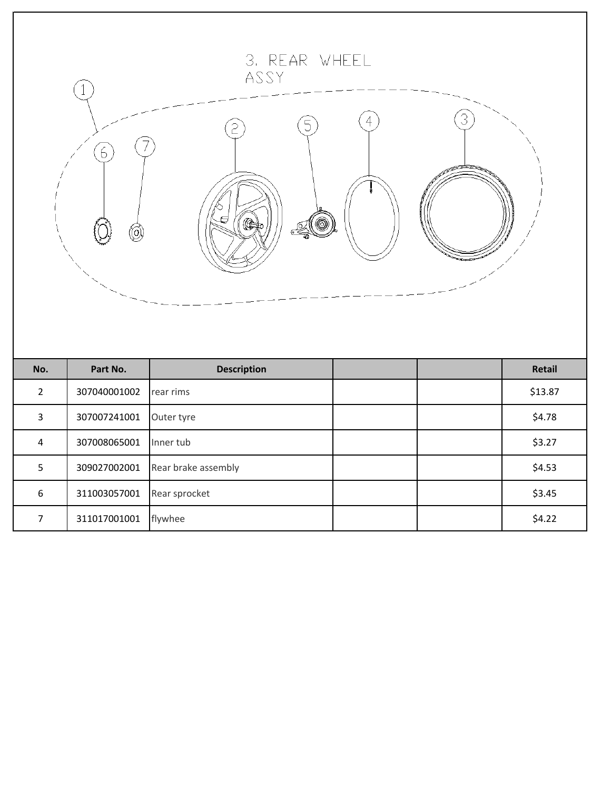| 3. REAR WHEEL<br>ASSY<br>4<br>5<br>$\epsilon$<br>6<br>(C<br>(O) |              |                     |  |  |         |  |  |  |
|-----------------------------------------------------------------|--------------|---------------------|--|--|---------|--|--|--|
| No.                                                             | Part No.     | <b>Description</b>  |  |  | Retail  |  |  |  |
| $\overline{2}$                                                  | 307040001002 | rear rims           |  |  | \$13.87 |  |  |  |
| $\overline{\mathbf{3}}$                                         | 307007241001 | Outer tyre          |  |  | \$4.78  |  |  |  |
| $\overline{4}$                                                  | 307008065001 | Inner tub           |  |  | \$3.27  |  |  |  |
| 5                                                               | 309027002001 | Rear brake assembly |  |  | \$4.53  |  |  |  |
| $\boldsymbol{6}$                                                | 311003057001 | Rear sprocket       |  |  | \$3.45  |  |  |  |
| $\overline{7}$                                                  | 311017001001 | flywhee             |  |  | \$4.22  |  |  |  |